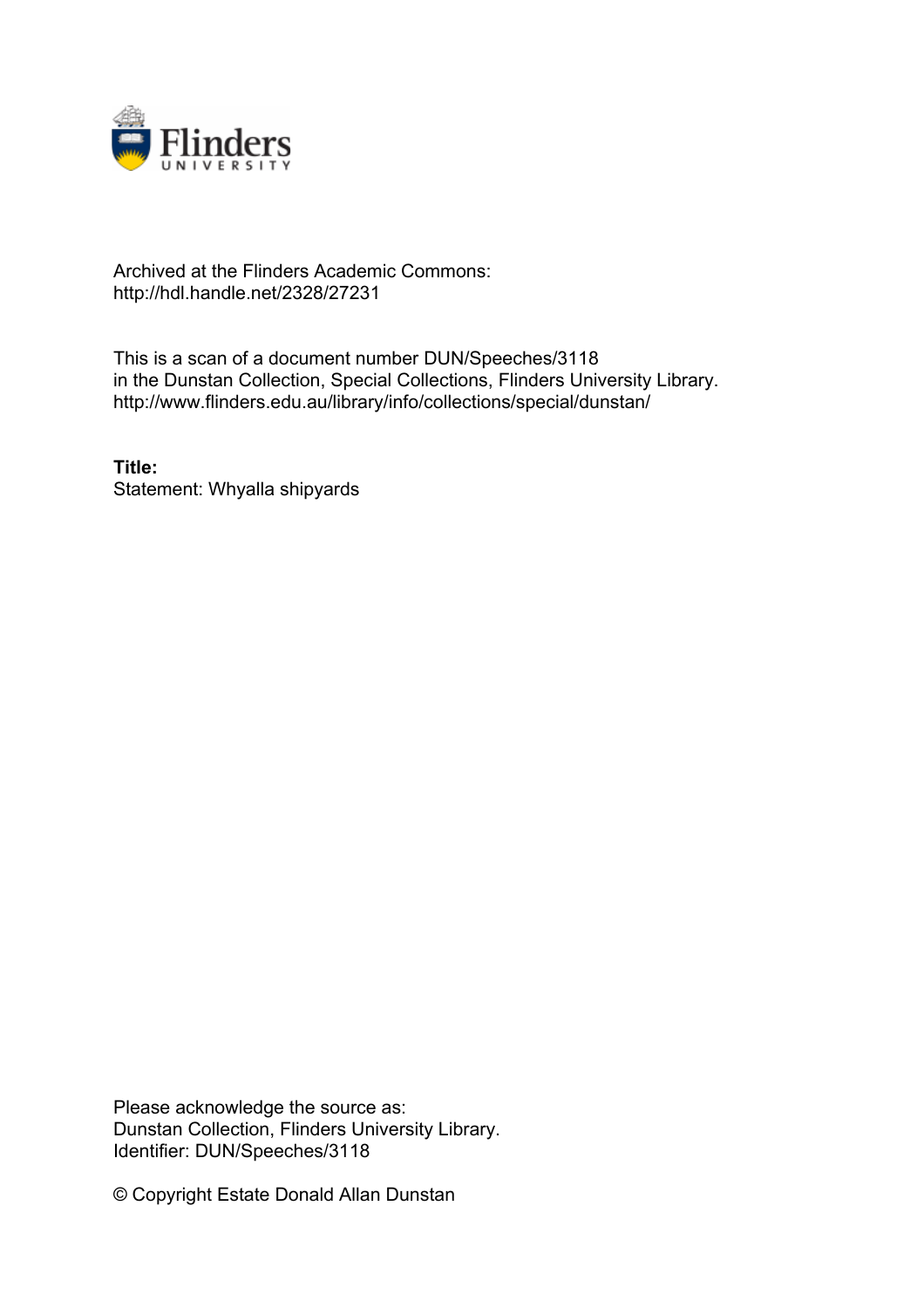

## Archived at the Flinders Academic Commons: http://hdl.handle.net/2328/27231

This is a scan of a document number DUN/Speeches/3118 in the Dunstan Collection, Special Collections, Flinders University Library. http://www.flinders.edu.au/library/info/collections/special/dunstan/

**Title:** Statement: Whyalla shipyards

Please acknowledge the source as: Dunstan Collection, Flinders University Library. Identifier: DUN/Speeches/3118

© Copyright Estate Donald Allan Dunstan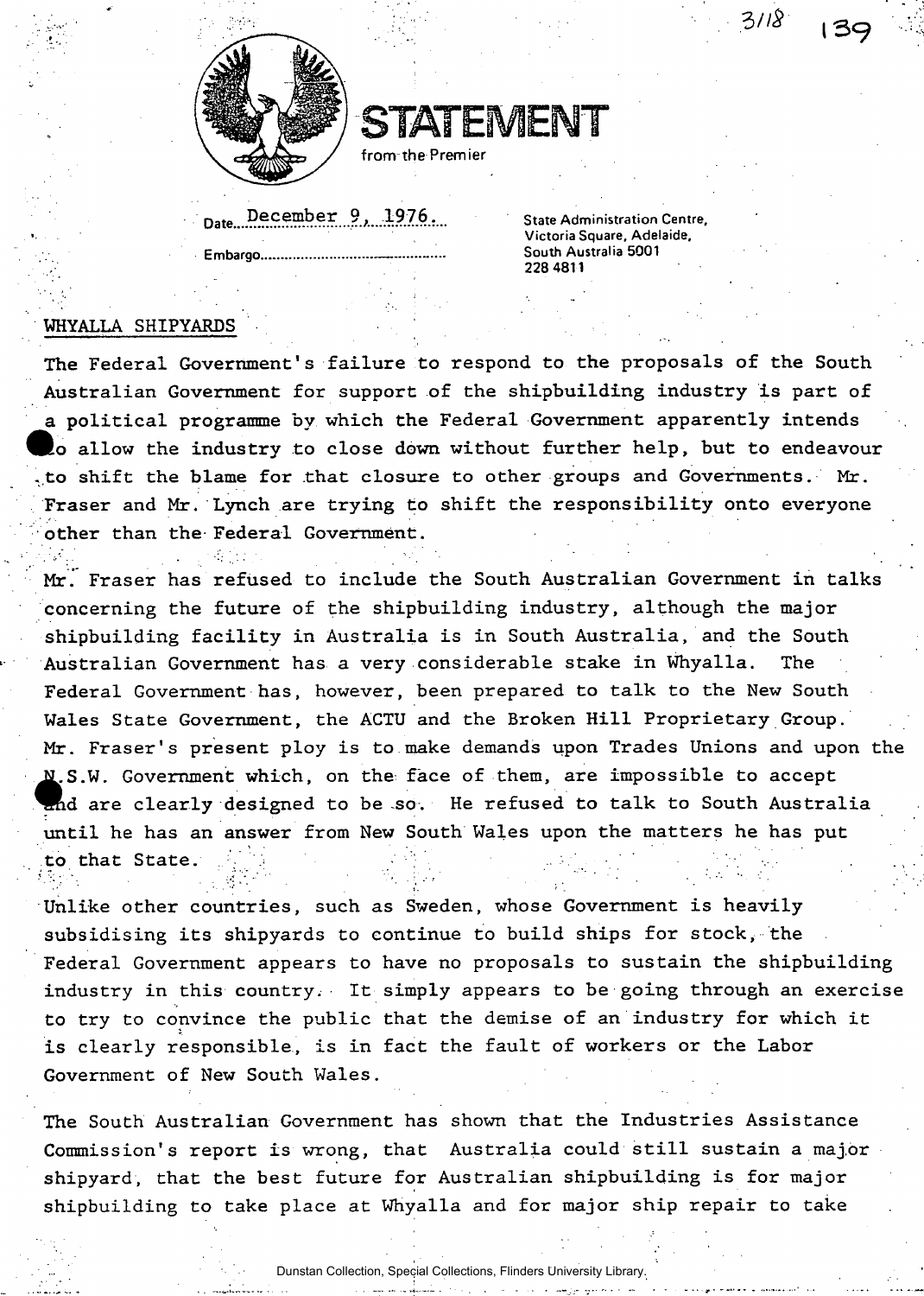

**STATEMENT** 

**from the Premier** 

Date December 9, 1976.

**State Administration Centre, Victoria Square, Adelaide, Embargo South Australia 5001 228 4811** 

**3//\*' l3< ?** 

## **WHYALLA SHIPYARDS**

**The Federal Government's failure to respond to the proposals of the South Australian Government for support of the shipbuilding industry is part of a political programme by which the Federal Government apparently intends feo allow the industry to close down without further help, but to endeavour -to shift the blame for that closure to other groups and Governments. Mr. Fraser and Mr. Lynch are trying to shift the responsibility onto everyone other than the Federal Government.** 

**Mr. Fraser has refused to include the South Australian Government in talks concerning the future of the shipbuilding industry, although the major shipbuilding facility in Australia is in South Australia, and the South Australian Government has a very considerable stake in Whyalla. The Federal Government has, however, been prepared to talk to the New South Wales State Government, the ACTU and the Broken Hill Proprietary Group. Mr. Fraser's present ploy is to make demands upon Trades Unions and upon the**  N.S **S.W. Government which, on the^ face of them, are impossible to accept**  and are clearly designed to be so. He refused to talk to South Australia **until he has an answer from New South Wales upon the matters he has put to that State. .** 

**Unlike other countries, such as Sweden, whose Government is heavily subsidising its shipyards to continue to build ships for stock, the Federal Government appears to have no proposals to sustain the shipbuilding industry in this country. It simply appears to be going through an exercise to try to convince the public that the demise of an industry for which it is clearly responsible, is in fact the fault of workers or the Labor Government of New South Wales.** 

**The South Australian Government has shown that the Industries Assistance Commission's report is wrong, that Australia could still sustain a major shipyard, that the best future for Australian shipbuilding is for major shipbuilding to take place at Whyalla and for major ship repair to take** 

Dunstan Collection, Special Collections, Flinders University Library.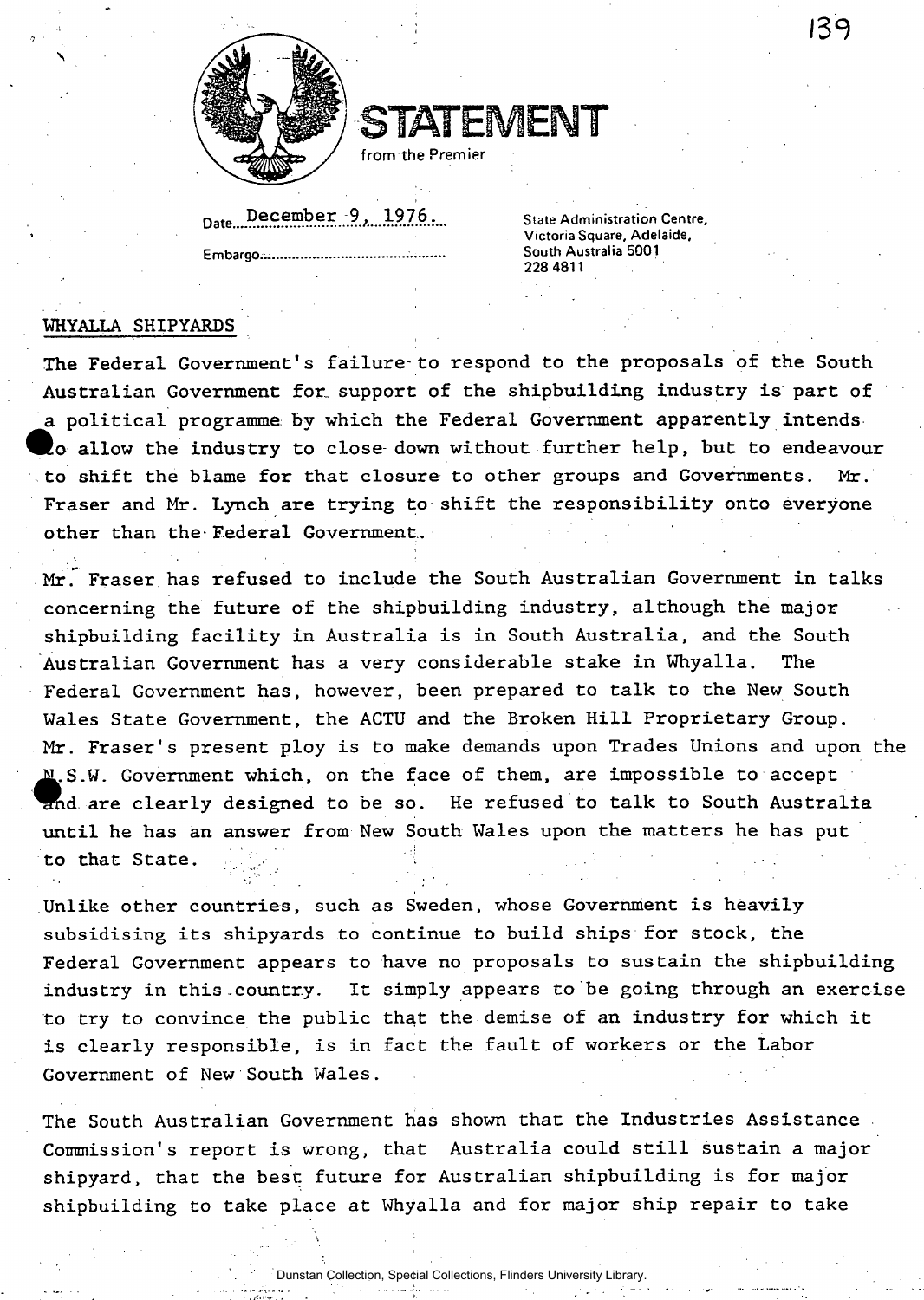

STATEMENT

from the Premier

Date December 9, 1976. **Embargo—** 

**State Administration Centre, Victoria Square, Adelaide, South Australia 5001 228 4811** 

139

## **WHYALLA SHIPYARDS**

**The Federal Government's failure-to respond to the proposals of the South Australian Government for. support of the shipbuilding industry is part of a political programme by which the Federal Government apparently intends ® o allow the industry to close down without further help, but to endeavour to shift the blame for that closure to other groups and Governments. Mr. Fraser and Mr. Lynch are trying to shift the responsibility onto everyone other than the-Federal Government.** 

**Mr." Fraser has refused to include the South Australian Government in talks concerning the future of the shipbuilding industry, although the major shipbuilding facility in Australia is in South Australia, and the South Australian Government has a very considerable stake in Whyalla. The Federal Government has, however, been prepared to talk to the New South Wales State Government, the ACTU and the Broken Hill Proprietary Group. Mr. Fraser's present ploy is to make demands upon Trades Unions and upon the**  N.S **S.W. Government which, on the face of them, are impossible to accept d are clearly designed to be so. He refused to talk to South Australia until he has an answer from New South Wales upon the matters he has put to that State.** 

**Unlike other countries, such as Sweden, whose Government is heavily subsidising its shipyards to continue to build ships for stock, the Federal Government appears to have no proposals to sustain the shipbuilding industry in this-country. It simply appears to be going through an exercise to try to convince the public that the demise of an industry for which it is clearly responsible, is in fact the fault of workers or the Labor Government of New South Wales.** 

**The South Australian Government has shown that the Industries Assistance Commission's report is wrong, that Australia could still sustain a major shipyard, that the best future for Australian shipbuilding is for major shipbuilding to take place at Whyalla and for major ship repair to take** 

Dunstan Collection, Special Collections, Flinders University Library.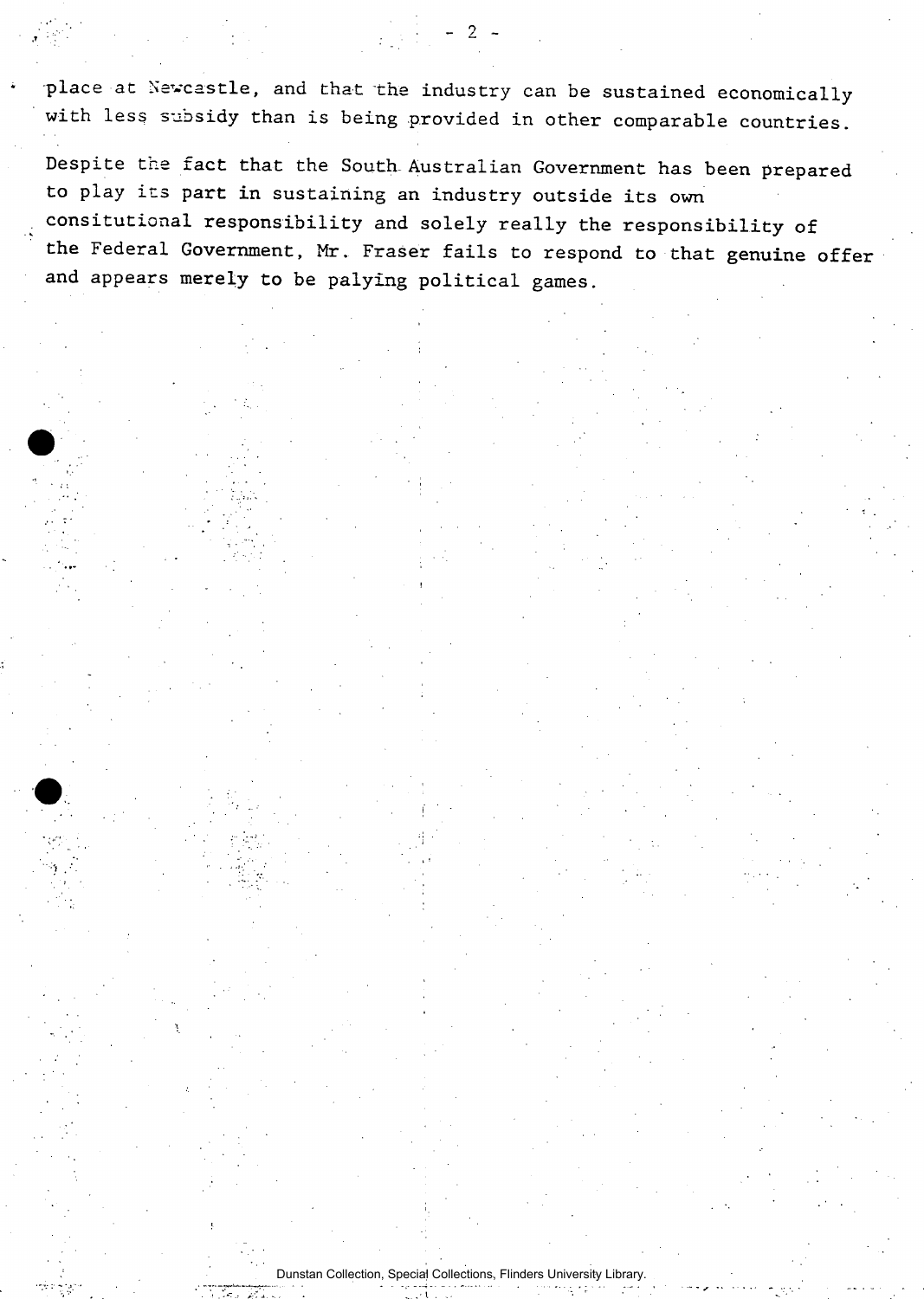**place at Newcastle, and that the industry can be sustained economically with less subsidy than is being provided in other comparable countries.** 

2

**Despite the fact that the South-Australian Government has been prepared to play its part in sustaining an industry outside its own consitutional responsibility and solely really the responsibility of the Federal Government, Mr. Fraser fails to respond to that genuine offer**  and appears merely to be palying political games.